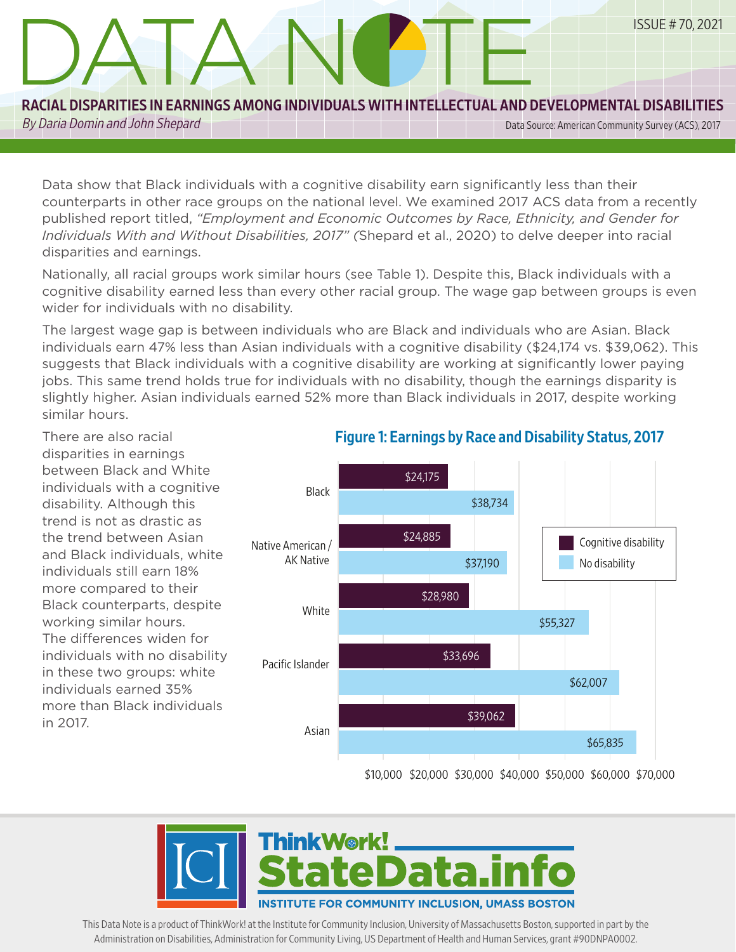#### RACIAL DISPARITIES IN EARNINGS AMONG INDIVIDUALS WITH INTELLECTUAL AND DEVELOPMENTAL DISABILITIES

DATA N

EMPLOYMENT BLAH BLAH BLAH AND ALSO YABBA DABBA

By Daria Domin and John Shepard Data Source: American Community Survey (ACS), 2017

ISSUE # 70, 2021

Data show that Black individuals with a cognitive disability earn significantly less than their counterparts in other race groups on the national level. We examined 2017 ACS data from a recently published report titled, *"Employment and Economic Outcomes by Race, Ethnicity, and Gender for Individuals With and Without Disabilities, 2017" (*Shepard et al., 2020) to delve deeper into racial disparities and earnings.

Nationally, all racial groups work similar hours (see Table 1). Despite this, Black individuals with a cognitive disability earned less than every other racial group. The wage gap between groups is even wider for individuals with no disability.

The largest wage gap is between individuals who are Black and individuals who are Asian. Black individuals earn 47% less than Asian individuals with a cognitive disability (\$24,174 vs. \$39,062). This suggests that Black individuals with a cognitive disability are working at significantly lower paying jobs. This same trend holds true for individuals with no disability, though the earnings disparity is slightly higher. Asian individuals earned 52% more than Black individuals in 2017, despite working similar hours.

There are also racial disparities in earnings between Black and White individuals with a cognitive disability. Although this trend is not as drastic as the trend between Asian and Black individuals, white individuals still earn 18% more compared to their Black counterparts, despite working similar hours. The differences widen for individuals with no disability in these two groups: white individuals earned 35% more than Black individuals in 2017.

I



#### Figure 1: Earnings by Race and Disability Status, 2017

\$10,000 \$20,000 \$30,000 \$40,000 \$50,000 \$60,000 \$70,000



This Data Note is a product of ThinkWork! at the Institute for Community Inclusion, University of Massachusetts Boston, supported in part by the Administration on Disabilities, Administration for Community Living, US Department of Health and Human Services, grant #90DNPA0002.